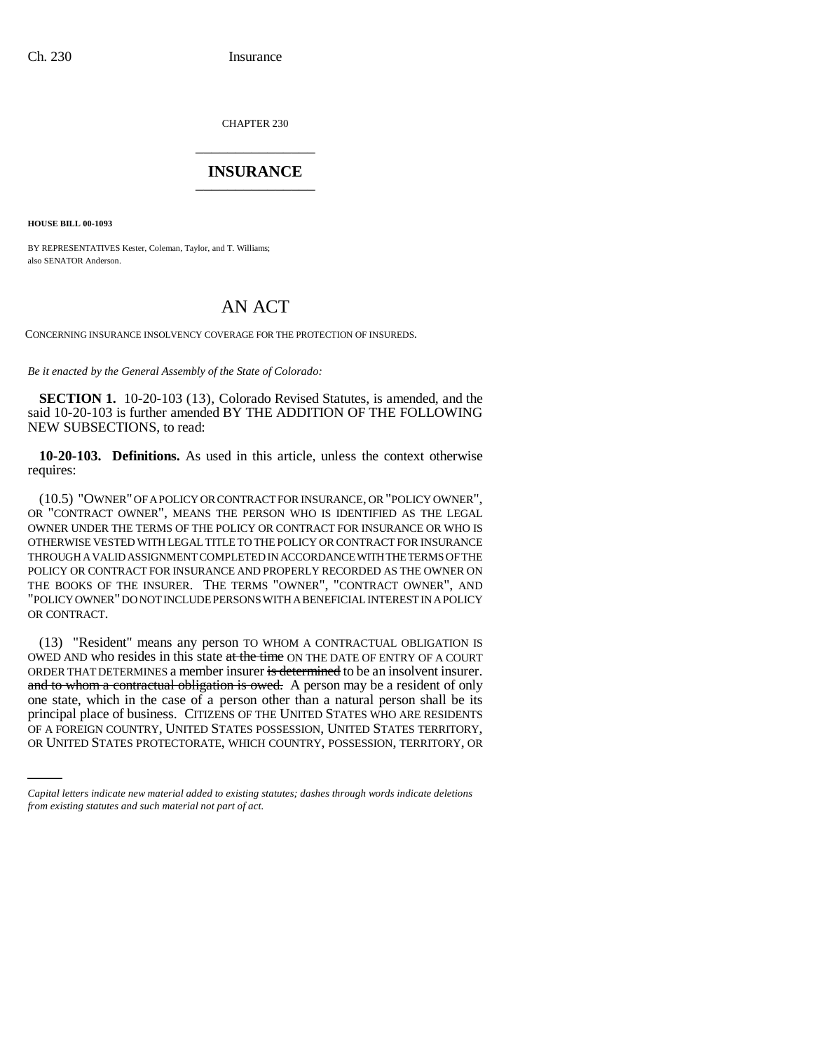CHAPTER 230 \_\_\_\_\_\_\_\_\_\_\_\_\_\_\_

## **INSURANCE** \_\_\_\_\_\_\_\_\_\_\_\_\_\_\_

**HOUSE BILL 00-1093** 

BY REPRESENTATIVES Kester, Coleman, Taylor, and T. Williams; also SENATOR Anderson.

# AN ACT

CONCERNING INSURANCE INSOLVENCY COVERAGE FOR THE PROTECTION OF INSUREDS.

*Be it enacted by the General Assembly of the State of Colorado:*

**SECTION 1.** 10-20-103 (13), Colorado Revised Statutes, is amended, and the said 10-20-103 is further amended BY THE ADDITION OF THE FOLLOWING NEW SUBSECTIONS, to read:

**10-20-103. Definitions.** As used in this article, unless the context otherwise requires:

(10.5) "OWNER" OF A POLICY OR CONTRACT FOR INSURANCE, OR "POLICY OWNER", OR "CONTRACT OWNER", MEANS THE PERSON WHO IS IDENTIFIED AS THE LEGAL OWNER UNDER THE TERMS OF THE POLICY OR CONTRACT FOR INSURANCE OR WHO IS OTHERWISE VESTED WITH LEGAL TITLE TO THE POLICY OR CONTRACT FOR INSURANCE THROUGH A VALID ASSIGNMENT COMPLETED IN ACCORDANCE WITH THE TERMS OF THE POLICY OR CONTRACT FOR INSURANCE AND PROPERLY RECORDED AS THE OWNER ON THE BOOKS OF THE INSURER. THE TERMS "OWNER", "CONTRACT OWNER", AND "POLICY OWNER" DO NOT INCLUDE PERSONS WITH A BENEFICIAL INTEREST IN A POLICY OR CONTRACT.

principal place of business. CITIZENS OF THE UNITED STATES WHO ARE RESIDENTS (13) "Resident" means any person TO WHOM A CONTRACTUAL OBLIGATION IS OWED AND who resides in this state at the time ON THE DATE OF ENTRY OF A COURT ORDER THAT DETERMINES a member insurer is determined to be an insolvent insurer. and to whom a contractual obligation is owed. A person may be a resident of only one state, which in the case of a person other than a natural person shall be its OF A FOREIGN COUNTRY, UNITED STATES POSSESSION, UNITED STATES TERRITORY, OR UNITED STATES PROTECTORATE, WHICH COUNTRY, POSSESSION, TERRITORY, OR

*Capital letters indicate new material added to existing statutes; dashes through words indicate deletions from existing statutes and such material not part of act.*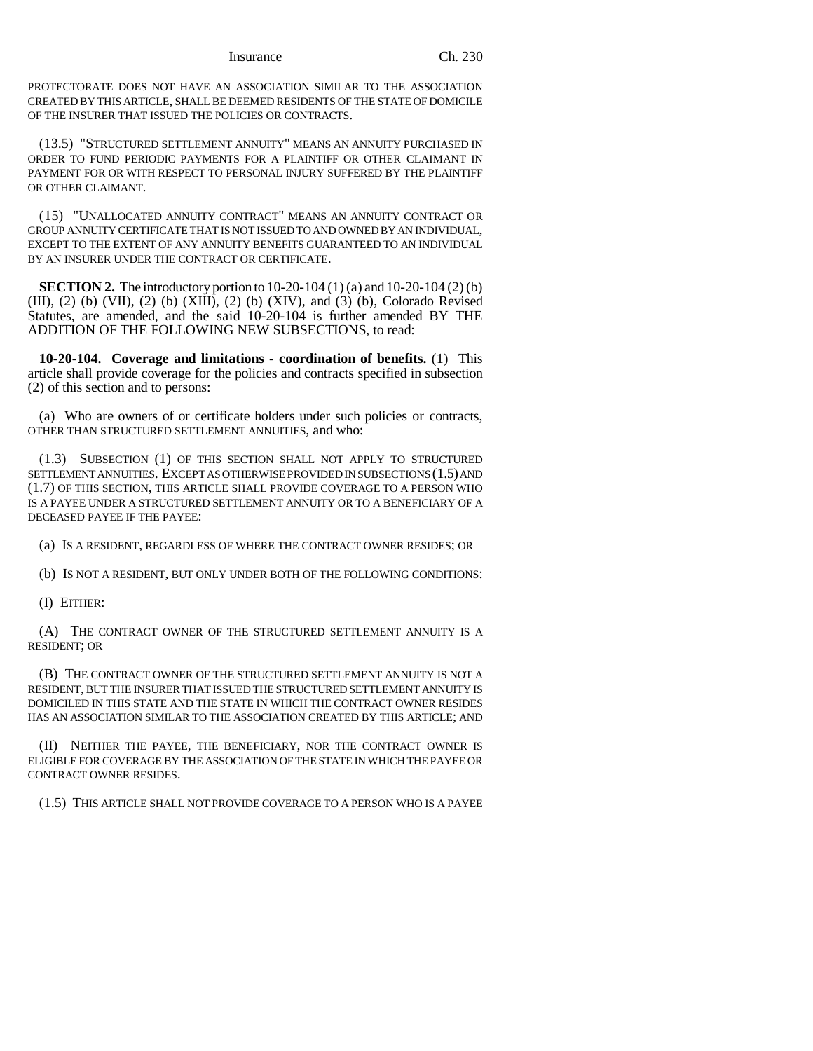Insurance Ch. 230

PROTECTORATE DOES NOT HAVE AN ASSOCIATION SIMILAR TO THE ASSOCIATION CREATED BY THIS ARTICLE, SHALL BE DEEMED RESIDENTS OF THE STATE OF DOMICILE OF THE INSURER THAT ISSUED THE POLICIES OR CONTRACTS.

(13.5) "STRUCTURED SETTLEMENT ANNUITY" MEANS AN ANNUITY PURCHASED IN ORDER TO FUND PERIODIC PAYMENTS FOR A PLAINTIFF OR OTHER CLAIMANT IN PAYMENT FOR OR WITH RESPECT TO PERSONAL INJURY SUFFERED BY THE PLAINTIFF OR OTHER CLAIMANT

(15) "UNALLOCATED ANNUITY CONTRACT" MEANS AN ANNUITY CONTRACT OR GROUP ANNUITY CERTIFICATE THAT IS NOT ISSUED TO AND OWNED BY AN INDIVIDUAL, EXCEPT TO THE EXTENT OF ANY ANNUITY BENEFITS GUARANTEED TO AN INDIVIDUAL BY AN INSURER UNDER THE CONTRACT OR CERTIFICATE.

**SECTION 2.** The introductory portion to 10-20-104 (1) (a) and 10-20-104 (2) (b) (III), (2) (b) (VII), (2) (b) (XIII), (2) (b) (XIV), and (3) (b), Colorado Revised Statutes, are amended, and the said 10-20-104 is further amended BY THE ADDITION OF THE FOLLOWING NEW SUBSECTIONS, to read:

**10-20-104. Coverage and limitations - coordination of benefits.** (1) This article shall provide coverage for the policies and contracts specified in subsection (2) of this section and to persons:

(a) Who are owners of or certificate holders under such policies or contracts, OTHER THAN STRUCTURED SETTLEMENT ANNUITIES, and who:

(1.3) SUBSECTION (1) OF THIS SECTION SHALL NOT APPLY TO STRUCTURED SETTLEMENT ANNUITIES. EXCEPT AS OTHERWISE PROVIDED IN SUBSECTIONS (1.5) AND (1.7) OF THIS SECTION, THIS ARTICLE SHALL PROVIDE COVERAGE TO A PERSON WHO IS A PAYEE UNDER A STRUCTURED SETTLEMENT ANNUITY OR TO A BENEFICIARY OF A DECEASED PAYEE IF THE PAYEE:

(a) IS A RESIDENT, REGARDLESS OF WHERE THE CONTRACT OWNER RESIDES; OR

(b) IS NOT A RESIDENT, BUT ONLY UNDER BOTH OF THE FOLLOWING CONDITIONS:

(I) EITHER:

(A) THE CONTRACT OWNER OF THE STRUCTURED SETTLEMENT ANNUITY IS A RESIDENT; OR

(B) THE CONTRACT OWNER OF THE STRUCTURED SETTLEMENT ANNUITY IS NOT A RESIDENT, BUT THE INSURER THAT ISSUED THE STRUCTURED SETTLEMENT ANNUITY IS DOMICILED IN THIS STATE AND THE STATE IN WHICH THE CONTRACT OWNER RESIDES HAS AN ASSOCIATION SIMILAR TO THE ASSOCIATION CREATED BY THIS ARTICLE; AND

(II) NEITHER THE PAYEE, THE BENEFICIARY, NOR THE CONTRACT OWNER IS ELIGIBLE FOR COVERAGE BY THE ASSOCIATION OF THE STATE IN WHICH THE PAYEE OR CONTRACT OWNER RESIDES.

(1.5) THIS ARTICLE SHALL NOT PROVIDE COVERAGE TO A PERSON WHO IS A PAYEE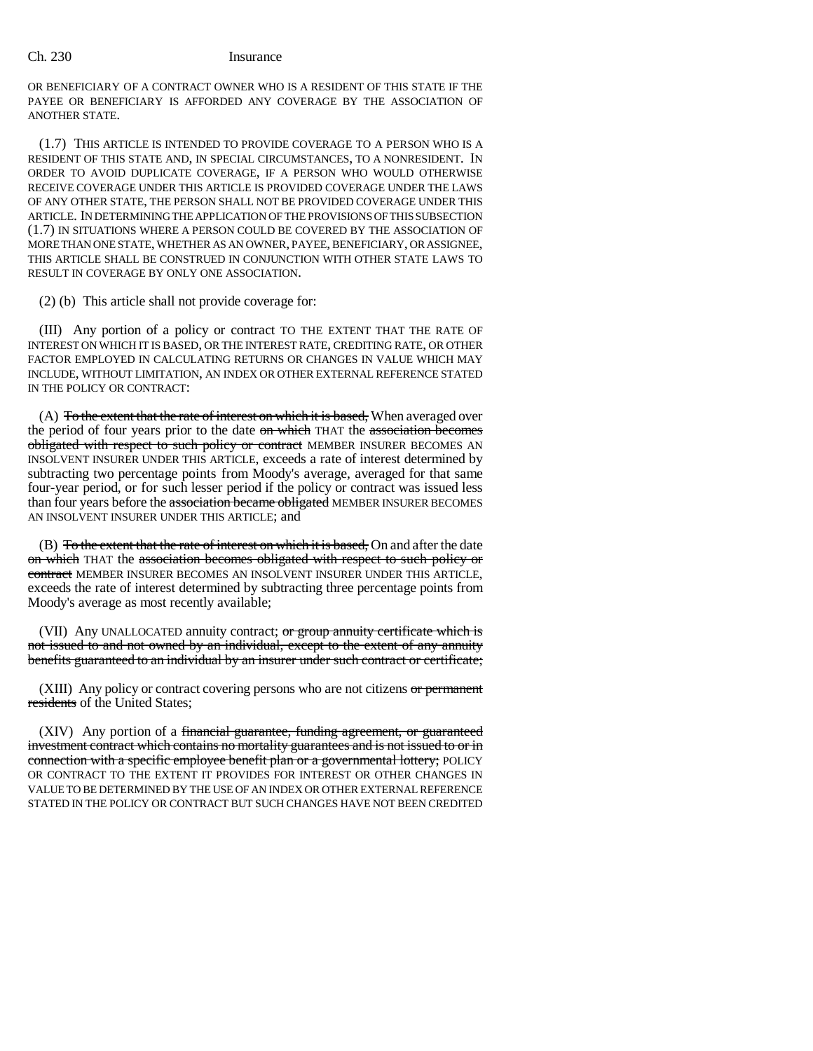#### Ch. 230 Insurance

OR BENEFICIARY OF A CONTRACT OWNER WHO IS A RESIDENT OF THIS STATE IF THE PAYEE OR BENEFICIARY IS AFFORDED ANY COVERAGE BY THE ASSOCIATION OF ANOTHER STATE.

(1.7) THIS ARTICLE IS INTENDED TO PROVIDE COVERAGE TO A PERSON WHO IS A RESIDENT OF THIS STATE AND, IN SPECIAL CIRCUMSTANCES, TO A NONRESIDENT. IN ORDER TO AVOID DUPLICATE COVERAGE, IF A PERSON WHO WOULD OTHERWISE RECEIVE COVERAGE UNDER THIS ARTICLE IS PROVIDED COVERAGE UNDER THE LAWS OF ANY OTHER STATE, THE PERSON SHALL NOT BE PROVIDED COVERAGE UNDER THIS ARTICLE. IN DETERMINING THE APPLICATION OF THE PROVISIONS OF THIS SUBSECTION (1.7) IN SITUATIONS WHERE A PERSON COULD BE COVERED BY THE ASSOCIATION OF MORE THAN ONE STATE, WHETHER AS AN OWNER, PAYEE, BENEFICIARY, OR ASSIGNEE, THIS ARTICLE SHALL BE CONSTRUED IN CONJUNCTION WITH OTHER STATE LAWS TO RESULT IN COVERAGE BY ONLY ONE ASSOCIATION.

(2) (b) This article shall not provide coverage for:

(III) Any portion of a policy or contract TO THE EXTENT THAT THE RATE OF INTEREST ON WHICH IT IS BASED, OR THE INTEREST RATE, CREDITING RATE, OR OTHER FACTOR EMPLOYED IN CALCULATING RETURNS OR CHANGES IN VALUE WHICH MAY INCLUDE, WITHOUT LIMITATION, AN INDEX OR OTHER EXTERNAL REFERENCE STATED IN THE POLICY OR CONTRACT:

 $(A)$  To the extent that the rate of interest on which it is based, When averaged over the period of four years prior to the date on which THAT the association becomes obligated with respect to such policy or contract MEMBER INSURER BECOMES AN INSOLVENT INSURER UNDER THIS ARTICLE, exceeds a rate of interest determined by subtracting two percentage points from Moody's average, averaged for that same four-year period, or for such lesser period if the policy or contract was issued less than four years before the association became obligated MEMBER INSURER BECOMES AN INSOLVENT INSURER UNDER THIS ARTICLE; and

(B) To the extent that the rate of interest on which it is based. On and after the date on which THAT the association becomes obligated with respect to such policy or contract MEMBER INSURER BECOMES AN INSOLVENT INSURER UNDER THIS ARTICLE, exceeds the rate of interest determined by subtracting three percentage points from Moody's average as most recently available;

(VII) Any UNALLOCATED annuity contract; or group annuity certificate which is not issued to and not owned by an individual, except to the extent of any annuity benefits guaranteed to an individual by an insurer under such contract or certificate;

(XIII) Any policy or contract covering persons who are not citizens  $or$  permanent residents of the United States;

(XIV) Any portion of a financial guarantee, funding agreement, or guaranteed investment contract which contains no mortality guarantees and is not issued to or in connection with a specific employee benefit plan or a governmental lottery; POLICY OR CONTRACT TO THE EXTENT IT PROVIDES FOR INTEREST OR OTHER CHANGES IN VALUE TO BE DETERMINED BY THE USE OF AN INDEX OR OTHER EXTERNAL REFERENCE STATED IN THE POLICY OR CONTRACT BUT SUCH CHANGES HAVE NOT BEEN CREDITED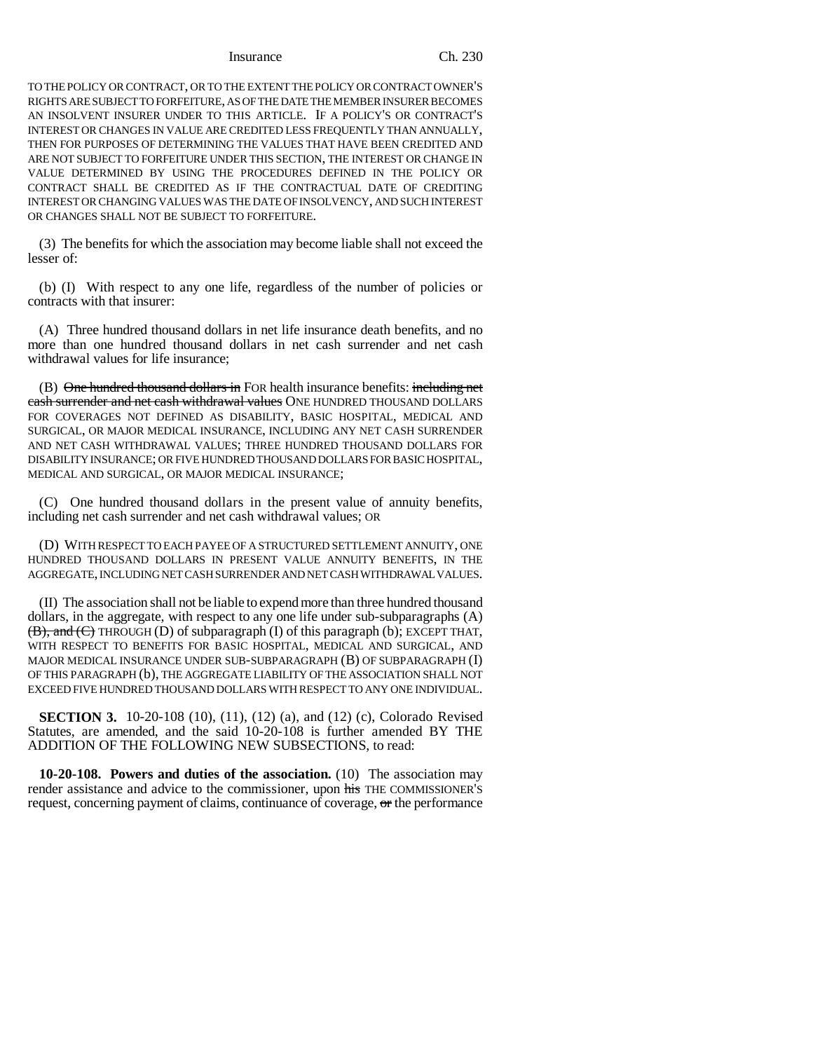#### Insurance Ch. 230

TO THE POLICY OR CONTRACT, OR TO THE EXTENT THE POLICY OR CONTRACT OWNER'S RIGHTS ARE SUBJECT TO FORFEITURE, AS OF THE DATE THE MEMBER INSURER BECOMES AN INSOLVENT INSURER UNDER TO THIS ARTICLE. IF A POLICY'S OR CONTRACT'S INTEREST OR CHANGES IN VALUE ARE CREDITED LESS FREQUENTLY THAN ANNUALLY, THEN FOR PURPOSES OF DETERMINING THE VALUES THAT HAVE BEEN CREDITED AND ARE NOT SUBJECT TO FORFEITURE UNDER THIS SECTION, THE INTEREST OR CHANGE IN VALUE DETERMINED BY USING THE PROCEDURES DEFINED IN THE POLICY OR CONTRACT SHALL BE CREDITED AS IF THE CONTRACTUAL DATE OF CREDITING INTEREST OR CHANGING VALUES WAS THE DATE OF INSOLVENCY, AND SUCH INTEREST OR CHANGES SHALL NOT BE SUBJECT TO FORFEITURE.

(3) The benefits for which the association may become liable shall not exceed the lesser of:

(b) (I) With respect to any one life, regardless of the number of policies or contracts with that insurer:

(A) Three hundred thousand dollars in net life insurance death benefits, and no more than one hundred thousand dollars in net cash surrender and net cash withdrawal values for life insurance;

(B) One hundred thousand dollars in FOR health insurance benefits: including net cash surrender and net cash withdrawal values ONE HUNDRED THOUSAND DOLLARS FOR COVERAGES NOT DEFINED AS DISABILITY, BASIC HOSPITAL, MEDICAL AND SURGICAL, OR MAJOR MEDICAL INSURANCE, INCLUDING ANY NET CASH SURRENDER AND NET CASH WITHDRAWAL VALUES; THREE HUNDRED THOUSAND DOLLARS FOR DISABILITY INSURANCE; OR FIVE HUNDRED THOUSAND DOLLARS FOR BASIC HOSPITAL, MEDICAL AND SURGICAL, OR MAJOR MEDICAL INSURANCE;

(C) One hundred thousand dollars in the present value of annuity benefits, including net cash surrender and net cash withdrawal values; OR

(D) WITH RESPECT TO EACH PAYEE OF A STRUCTURED SETTLEMENT ANNUITY, ONE HUNDRED THOUSAND DOLLARS IN PRESENT VALUE ANNUITY BENEFITS, IN THE AGGREGATE, INCLUDING NET CASH SURRENDER AND NET CASH WITHDRAWAL VALUES.

(II) The association shall not be liable to expend more than three hundred thousand dollars, in the aggregate, with respect to any one life under sub-subparagraphs (A) (B), and (C) THROUGH (D) of subparagraph (I) of this paragraph (b); EXCEPT THAT, WITH RESPECT TO BENEFITS FOR BASIC HOSPITAL, MEDICAL AND SURGICAL, AND MAJOR MEDICAL INSURANCE UNDER SUB-SUBPARAGRAPH (B) OF SUBPARAGRAPH (I) OF THIS PARAGRAPH (b), THE AGGREGATE LIABILITY OF THE ASSOCIATION SHALL NOT EXCEED FIVE HUNDRED THOUSAND DOLLARS WITH RESPECT TO ANY ONE INDIVIDUAL.

**SECTION 3.** 10-20-108 (10), (11), (12) (a), and (12) (c), Colorado Revised Statutes, are amended, and the said 10-20-108 is further amended BY THE ADDITION OF THE FOLLOWING NEW SUBSECTIONS, to read:

**10-20-108. Powers and duties of the association.** (10) The association may render assistance and advice to the commissioner, upon his THE COMMISSIONER'S request, concerning payment of claims, continuance of coverage,  $\sigma$ r the performance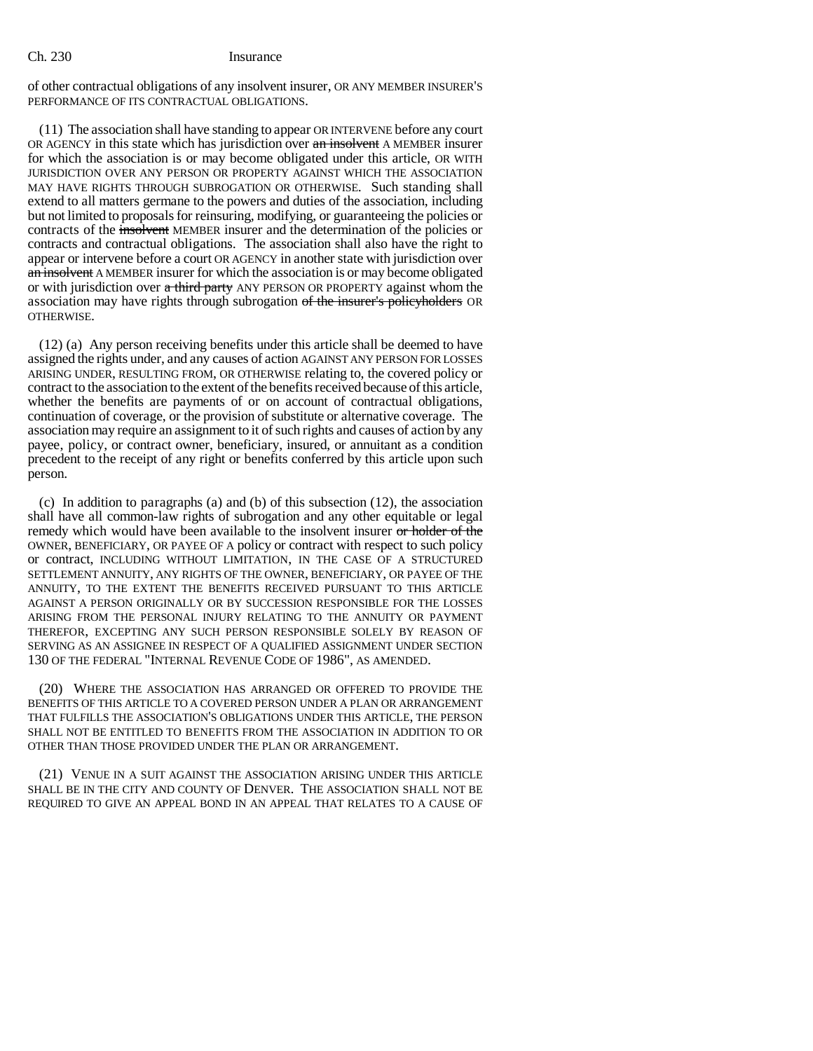#### Ch. 230 Insurance

of other contractual obligations of any insolvent insurer, OR ANY MEMBER INSURER'S PERFORMANCE OF ITS CONTRACTUAL OBLIGATIONS.

(11) The association shall have standing to appear OR INTERVENE before any court OR AGENCY in this state which has jurisdiction over an insolvent A MEMBER insurer for which the association is or may become obligated under this article, OR WITH JURISDICTION OVER ANY PERSON OR PROPERTY AGAINST WHICH THE ASSOCIATION MAY HAVE RIGHTS THROUGH SUBROGATION OR OTHERWISE. Such standing shall extend to all matters germane to the powers and duties of the association, including but not limited to proposals for reinsuring, modifying, or guaranteeing the policies or contracts of the insolvent MEMBER insurer and the determination of the policies or contracts and contractual obligations. The association shall also have the right to appear or intervene before a court OR AGENCY in another state with jurisdiction over an insolvent A MEMBER insurer for which the association is or may become obligated or with jurisdiction over a third party ANY PERSON OR PROPERTY against whom the association may have rights through subrogation of the insurer's policyholders OR OTHERWISE.

(12) (a) Any person receiving benefits under this article shall be deemed to have assigned the rights under, and any causes of action AGAINST ANY PERSON FOR LOSSES ARISING UNDER, RESULTING FROM, OR OTHERWISE relating to, the covered policy or contract to the association to the extent of the benefits received because of this article, whether the benefits are payments of or on account of contractual obligations, continuation of coverage, or the provision of substitute or alternative coverage. The association may require an assignment to it of such rights and causes of action by any payee, policy, or contract owner, beneficiary, insured, or annuitant as a condition precedent to the receipt of any right or benefits conferred by this article upon such person.

(c) In addition to paragraphs (a) and (b) of this subsection (12), the association shall have all common-law rights of subrogation and any other equitable or legal remedy which would have been available to the insolvent insurer or holder of the OWNER, BENEFICIARY, OR PAYEE OF A policy or contract with respect to such policy or contract, INCLUDING WITHOUT LIMITATION, IN THE CASE OF A STRUCTURED SETTLEMENT ANNUITY, ANY RIGHTS OF THE OWNER, BENEFICIARY, OR PAYEE OF THE ANNUITY, TO THE EXTENT THE BENEFITS RECEIVED PURSUANT TO THIS ARTICLE AGAINST A PERSON ORIGINALLY OR BY SUCCESSION RESPONSIBLE FOR THE LOSSES ARISING FROM THE PERSONAL INJURY RELATING TO THE ANNUITY OR PAYMENT THEREFOR, EXCEPTING ANY SUCH PERSON RESPONSIBLE SOLELY BY REASON OF SERVING AS AN ASSIGNEE IN RESPECT OF A QUALIFIED ASSIGNMENT UNDER SECTION 130 OF THE FEDERAL "INTERNAL REVENUE CODE OF 1986", AS AMENDED.

(20) WHERE THE ASSOCIATION HAS ARRANGED OR OFFERED TO PROVIDE THE BENEFITS OF THIS ARTICLE TO A COVERED PERSON UNDER A PLAN OR ARRANGEMENT THAT FULFILLS THE ASSOCIATION'S OBLIGATIONS UNDER THIS ARTICLE, THE PERSON SHALL NOT BE ENTITLED TO BENEFITS FROM THE ASSOCIATION IN ADDITION TO OR OTHER THAN THOSE PROVIDED UNDER THE PLAN OR ARRANGEMENT.

(21) VENUE IN A SUIT AGAINST THE ASSOCIATION ARISING UNDER THIS ARTICLE SHALL BE IN THE CITY AND COUNTY OF DENVER. THE ASSOCIATION SHALL NOT BE REQUIRED TO GIVE AN APPEAL BOND IN AN APPEAL THAT RELATES TO A CAUSE OF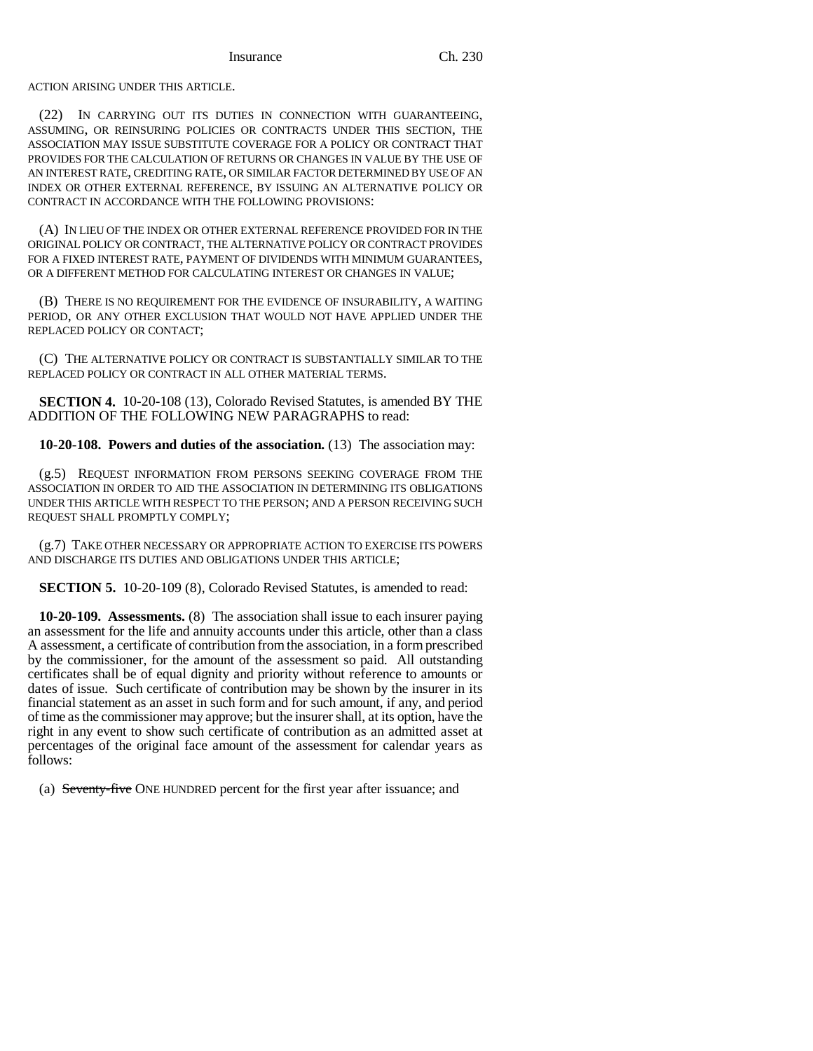ACTION ARISING UNDER THIS ARTICLE.

(22) IN CARRYING OUT ITS DUTIES IN CONNECTION WITH GUARANTEEING, ASSUMING, OR REINSURING POLICIES OR CONTRACTS UNDER THIS SECTION, THE ASSOCIATION MAY ISSUE SUBSTITUTE COVERAGE FOR A POLICY OR CONTRACT THAT PROVIDES FOR THE CALCULATION OF RETURNS OR CHANGES IN VALUE BY THE USE OF AN INTEREST RATE, CREDITING RATE, OR SIMILAR FACTOR DETERMINED BY USE OF AN INDEX OR OTHER EXTERNAL REFERENCE, BY ISSUING AN ALTERNATIVE POLICY OR CONTRACT IN ACCORDANCE WITH THE FOLLOWING PROVISIONS:

(A) IN LIEU OF THE INDEX OR OTHER EXTERNAL REFERENCE PROVIDED FOR IN THE ORIGINAL POLICY OR CONTRACT, THE ALTERNATIVE POLICY OR CONTRACT PROVIDES FOR A FIXED INTEREST RATE, PAYMENT OF DIVIDENDS WITH MINIMUM GUARANTEES, OR A DIFFERENT METHOD FOR CALCULATING INTEREST OR CHANGES IN VALUE;

(B) THERE IS NO REQUIREMENT FOR THE EVIDENCE OF INSURABILITY, A WAITING PERIOD, OR ANY OTHER EXCLUSION THAT WOULD NOT HAVE APPLIED UNDER THE REPLACED POLICY OR CONTACT;

(C) THE ALTERNATIVE POLICY OR CONTRACT IS SUBSTANTIALLY SIMILAR TO THE REPLACED POLICY OR CONTRACT IN ALL OTHER MATERIAL TERMS.

**SECTION 4.** 10-20-108 (13), Colorado Revised Statutes, is amended BY THE ADDITION OF THE FOLLOWING NEW PARAGRAPHS to read:

**10-20-108. Powers and duties of the association.** (13) The association may:

(g.5) REQUEST INFORMATION FROM PERSONS SEEKING COVERAGE FROM THE ASSOCIATION IN ORDER TO AID THE ASSOCIATION IN DETERMINING ITS OBLIGATIONS UNDER THIS ARTICLE WITH RESPECT TO THE PERSON; AND A PERSON RECEIVING SUCH REQUEST SHALL PROMPTLY COMPLY;

(g.7) TAKE OTHER NECESSARY OR APPROPRIATE ACTION TO EXERCISE ITS POWERS AND DISCHARGE ITS DUTIES AND OBLIGATIONS UNDER THIS ARTICLE;

**SECTION 5.** 10-20-109 (8), Colorado Revised Statutes, is amended to read:

**10-20-109. Assessments.** (8) The association shall issue to each insurer paying an assessment for the life and annuity accounts under this article, other than a class A assessment, a certificate of contribution from the association, in a form prescribed by the commissioner, for the amount of the assessment so paid. All outstanding certificates shall be of equal dignity and priority without reference to amounts or dates of issue. Such certificate of contribution may be shown by the insurer in its financial statement as an asset in such form and for such amount, if any, and period of time as the commissioner may approve; but the insurer shall, at its option, have the right in any event to show such certificate of contribution as an admitted asset at percentages of the original face amount of the assessment for calendar years as follows:

(a) Seventy-five ONE HUNDRED percent for the first year after issuance; and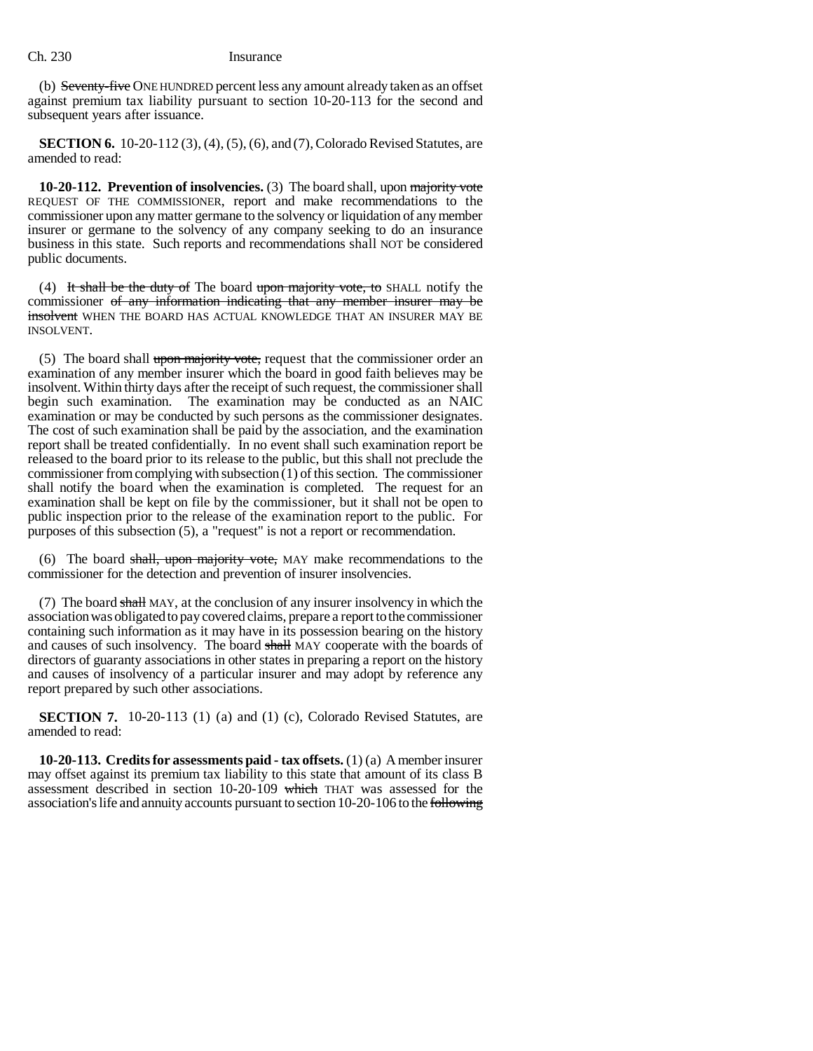### Ch. 230 Insurance

(b) Seventy-five ONE HUNDRED percent less any amount already taken as an offset against premium tax liability pursuant to section 10-20-113 for the second and subsequent years after issuance.

**SECTION 6.** 10-20-112 (3), (4), (5), (6), and (7), Colorado Revised Statutes, are amended to read:

**10-20-112. Prevention of insolvencies.** (3) The board shall, upon majority vote REQUEST OF THE COMMISSIONER, report and make recommendations to the commissioner upon any matter germane to the solvency or liquidation of any member insurer or germane to the solvency of any company seeking to do an insurance business in this state. Such reports and recommendations shall NOT be considered public documents.

(4) It shall be the duty of The board upon majority vote, to SHALL notify the commissioner of any information indicating that any member insurer may be insolvent WHEN THE BOARD HAS ACTUAL KNOWLEDGE THAT AN INSURER MAY BE INSOLVENT.

(5) The board shall upon majority vote, request that the commissioner order an examination of any member insurer which the board in good faith believes may be insolvent. Within thirty days after the receipt of such request, the commissioner shall begin such examination. The examination may be conducted as an NAIC examination or may be conducted by such persons as the commissioner designates. The cost of such examination shall be paid by the association, and the examination report shall be treated confidentially. In no event shall such examination report be released to the board prior to its release to the public, but this shall not preclude the commissioner from complying with subsection  $(1)$  of this section. The commissioner shall notify the board when the examination is completed. The request for an examination shall be kept on file by the commissioner, but it shall not be open to public inspection prior to the release of the examination report to the public. For purposes of this subsection (5), a "request" is not a report or recommendation.

(6) The board shall, upon majority vote, MAY make recommendations to the commissioner for the detection and prevention of insurer insolvencies.

(7) The board shall MAY, at the conclusion of any insurer insolvency in which the association was obligated to pay covered claims, prepare a report to the commissioner containing such information as it may have in its possession bearing on the history and causes of such insolvency. The board shall MAY cooperate with the boards of directors of guaranty associations in other states in preparing a report on the history and causes of insolvency of a particular insurer and may adopt by reference any report prepared by such other associations.

**SECTION 7.** 10-20-113 (1) (a) and (1) (c), Colorado Revised Statutes, are amended to read:

**10-20-113. Credits for assessments paid - tax offsets.** (1) (a) A member insurer may offset against its premium tax liability to this state that amount of its class B assessment described in section 10-20-109 which THAT was assessed for the association's life and annuity accounts pursuant to section 10-20-106 to the following